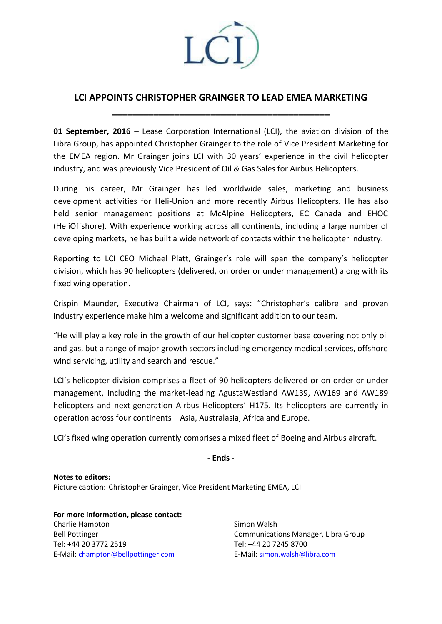

## **LCI APPOINTS CHRISTOPHER GRAINGER TO LEAD EMEA MARKETING**

**\_\_\_\_\_\_\_\_\_\_\_\_\_\_\_\_\_\_\_\_\_\_\_\_\_\_\_\_\_\_\_\_\_\_\_\_\_\_\_\_\_\_**

**01 September, 2016** – Lease Corporation International (LCI), the aviation division of the Libra Group, has appointed Christopher Grainger to the role of Vice President Marketing for the EMEA region. Mr Grainger joins LCI with 30 years' experience in the civil helicopter industry, and was previously Vice President of Oil & Gas Sales for Airbus Helicopters.

During his career, Mr Grainger has led worldwide sales, marketing and business development activities for Heli-Union and more recently Airbus Helicopters. He has also held senior management positions at McAlpine Helicopters, EC Canada and EHOC (HeliOffshore). With experience working across all continents, including a large number of developing markets, he has built a wide network of contacts within the helicopter industry.

Reporting to LCI CEO Michael Platt, Grainger's role will span the company's helicopter division, which has 90 helicopters (delivered, on order or under management) along with its fixed wing operation.

Crispin Maunder, Executive Chairman of LCI, says: "Christopher's calibre and proven industry experience make him a welcome and significant addition to our team.

"He will play a key role in the growth of our helicopter customer base covering not only oil and gas, but a range of major growth sectors including emergency medical services, offshore wind servicing, utility and search and rescue."

LCI's helicopter division comprises a fleet of 90 helicopters delivered or on order or under management, including the market-leading AgustaWestland AW139, AW169 and AW189 helicopters and next-generation Airbus Helicopters' H175. Its helicopters are currently in operation across four continents – Asia, Australasia, Africa and Europe.

LCI's fixed wing operation currently comprises a mixed fleet of Boeing and Airbus aircraft.

**- Ends -**

**Notes to editors:** Picture caption: Christopher Grainger, Vice President Marketing EMEA, LCI

**For more information, please contact:** Charlie Hampton Bell Pottinger Tel: +44 20 3772 2519 E-Mail: champton@bellpottinger.com

Simon Walsh Communications Manager, Libra Group Tel: +44 20 7245 8700 E-Mail: simon.walsh@libra.com